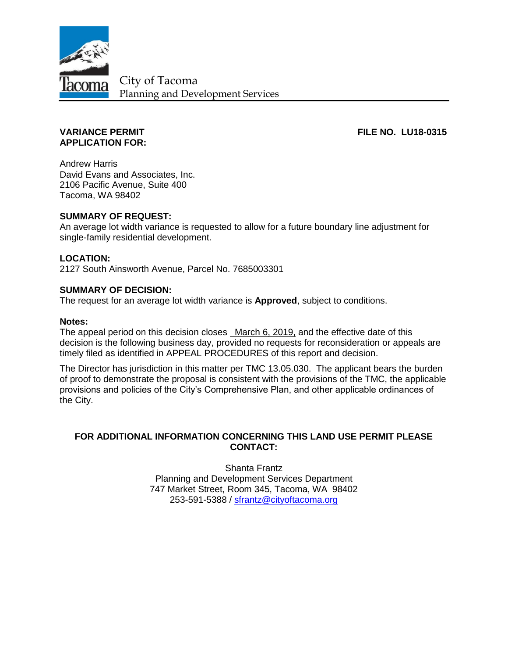

City of Tacoma Planning and Development Services

# **APPLICATION FOR:**

**VARIANCE PERMIT FILE NO. LU18-0315** 

Andrew Harris David Evans and Associates, Inc. 2106 Pacific Avenue, Suite 400 Tacoma, WA 98402

## **SUMMARY OF REQUEST:**

An average lot width variance is requested to allow for a future boundary line adjustment for single-family residential development.

## **LOCATION:**

2127 South Ainsworth Avenue, Parcel No. 7685003301

#### **SUMMARY OF DECISION:**

The request for an average lot width variance is **Approved**, subject to conditions.

#### **Notes:**

The appeal period on this decision closes March 6, 2019, and the effective date of this decision is the following business day, provided no requests for reconsideration or appeals are timely filed as identified in APPEAL PROCEDURES of this report and decision.

The Director has jurisdiction in this matter per TMC 13.05.030. The applicant bears the burden of proof to demonstrate the proposal is consistent with the provisions of the TMC, the applicable provisions and policies of the City's Comprehensive Plan, and other applicable ordinances of the City.

## **FOR ADDITIONAL INFORMATION CONCERNING THIS LAND USE PERMIT PLEASE CONTACT:**

Shanta Frantz Planning and Development Services Department 747 Market Street, Room 345, Tacoma, WA 98402 253-591-5388 / [sfrantz@cityoftacoma.org](mailto:sfrantz@cityoftacoma.org)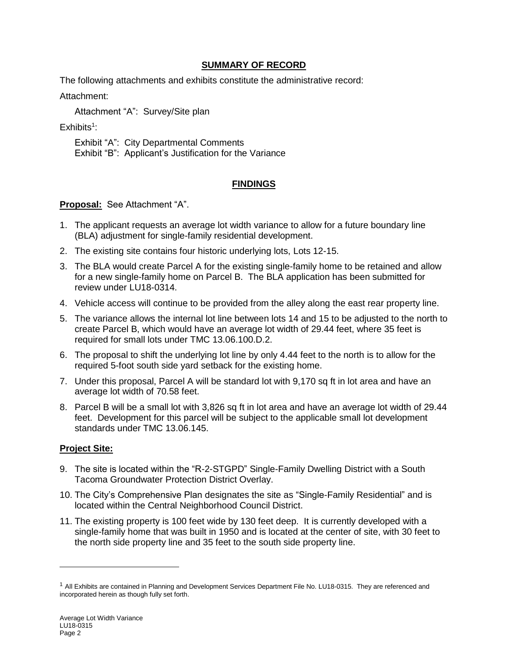## **SUMMARY OF RECORD**

The following attachments and exhibits constitute the administrative record:

Attachment:

Attachment "A": Survey/Site plan

 $Exhibits<sup>1</sup>$ :

Exhibit "A": City Departmental Comments Exhibit "B": Applicant's Justification for the Variance

# **FINDINGS**

## **Proposal:** See Attachment "A".

- 1. The applicant requests an average lot width variance to allow for a future boundary line (BLA) adjustment for single-family residential development.
- 2. The existing site contains four historic underlying lots, Lots 12-15.
- 3. The BLA would create Parcel A for the existing single-family home to be retained and allow for a new single-family home on Parcel B. The BLA application has been submitted for review under LU18-0314.
- 4. Vehicle access will continue to be provided from the alley along the east rear property line.
- 5. The variance allows the internal lot line between lots 14 and 15 to be adjusted to the north to create Parcel B, which would have an average lot width of 29.44 feet, where 35 feet is required for small lots under TMC 13.06.100.D.2.
- 6. The proposal to shift the underlying lot line by only 4.44 feet to the north is to allow for the required 5-foot south side yard setback for the existing home.
- 7. Under this proposal, Parcel A will be standard lot with 9,170 sq ft in lot area and have an average lot width of 70.58 feet.
- 8. Parcel B will be a small lot with 3,826 sq ft in lot area and have an average lot width of 29.44 feet. Development for this parcel will be subject to the applicable small lot development standards under TMC 13.06.145.

# **Project Site:**

 $\overline{a}$ 

- 9. The site is located within the "R-2-STGPD" Single-Family Dwelling District with a South Tacoma Groundwater Protection District Overlay.
- 10. The City's Comprehensive Plan designates the site as "Single-Family Residential" and is located within the Central Neighborhood Council District.
- 11. The existing property is 100 feet wide by 130 feet deep. It is currently developed with a single-family home that was built in 1950 and is located at the center of site, with 30 feet to the north side property line and 35 feet to the south side property line.

 $1$  All Exhibits are contained in Planning and Development Services Department File No. LU18-0315. They are referenced and incorporated herein as though fully set forth.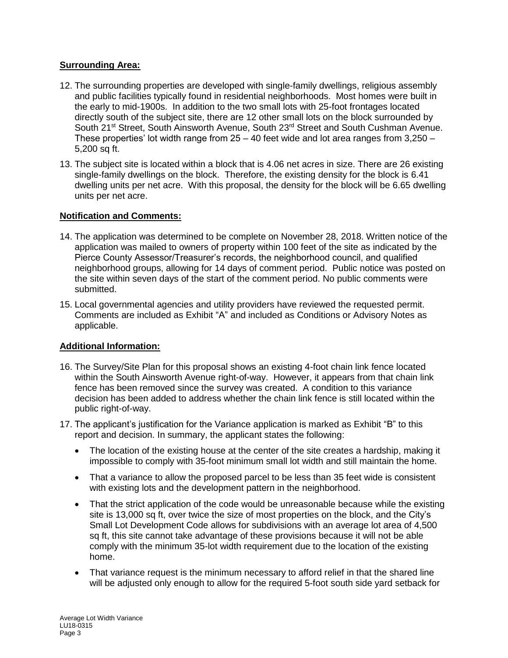## **Surrounding Area:**

- 12. The surrounding properties are developed with single-family dwellings, religious assembly and public facilities typically found in residential neighborhoods. Most homes were built in the early to mid-1900s. In addition to the two small lots with 25-foot frontages located directly south of the subject site, there are 12 other small lots on the block surrounded by South 21<sup>st</sup> Street, South Ainsworth Avenue, South 23<sup>rd</sup> Street and South Cushman Avenue. These properties' lot width range from  $25 - 40$  feet wide and lot area ranges from  $3.250 -$ 5,200 sq ft.
- 13. The subject site is located within a block that is 4.06 net acres in size. There are 26 existing single-family dwellings on the block. Therefore, the existing density for the block is 6.41 dwelling units per net acre. With this proposal, the density for the block will be 6.65 dwelling units per net acre.

# **Notification and Comments:**

- 14. The application was determined to be complete on November 28, 2018. Written notice of the application was mailed to owners of property within 100 feet of the site as indicated by the Pierce County Assessor/Treasurer's records, the neighborhood council, and qualified neighborhood groups, allowing for 14 days of comment period. Public notice was posted on the site within seven days of the start of the comment period. No public comments were submitted.
- 15. Local governmental agencies and utility providers have reviewed the requested permit. Comments are included as Exhibit "A" and included as Conditions or Advisory Notes as applicable.

# **Additional Information:**

- 16. The Survey/Site Plan for this proposal shows an existing 4-foot chain link fence located within the South Ainsworth Avenue right-of-way. However, it appears from that chain link fence has been removed since the survey was created. A condition to this variance decision has been added to address whether the chain link fence is still located within the public right-of-way.
- 17. The applicant's justification for the Variance application is marked as Exhibit "B" to this report and decision. In summary, the applicant states the following:
	- The location of the existing house at the center of the site creates a hardship, making it impossible to comply with 35-foot minimum small lot width and still maintain the home.
	- That a variance to allow the proposed parcel to be less than 35 feet wide is consistent with existing lots and the development pattern in the neighborhood.
	- That the strict application of the code would be unreasonable because while the existing site is 13,000 sq ft, over twice the size of most properties on the block, and the City's Small Lot Development Code allows for subdivisions with an average lot area of 4,500 sq ft, this site cannot take advantage of these provisions because it will not be able comply with the minimum 35-lot width requirement due to the location of the existing home.
	- That variance request is the minimum necessary to afford relief in that the shared line will be adjusted only enough to allow for the required 5-foot south side yard setback for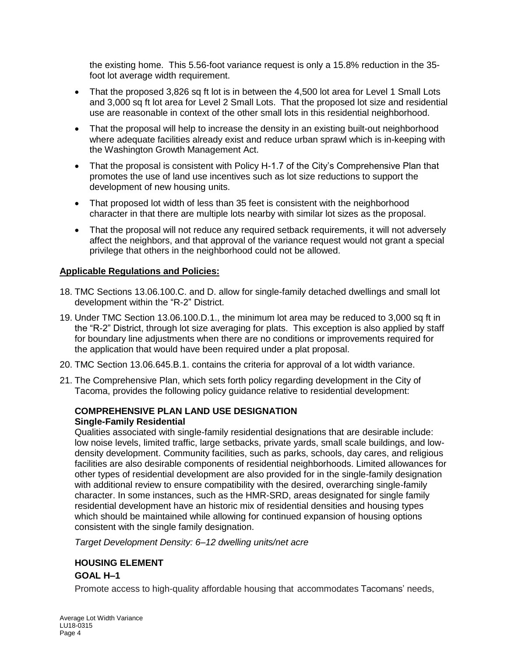the existing home. This 5.56-foot variance request is only a 15.8% reduction in the 35 foot lot average width requirement.

- That the proposed 3,826 sq ft lot is in between the 4,500 lot area for Level 1 Small Lots and 3,000 sq ft lot area for Level 2 Small Lots. That the proposed lot size and residential use are reasonable in context of the other small lots in this residential neighborhood.
- That the proposal will help to increase the density in an existing built-out neighborhood where adequate facilities already exist and reduce urban sprawl which is in-keeping with the Washington Growth Management Act.
- That the proposal is consistent with Policy H-1.7 of the City's Comprehensive Plan that promotes the use of land use incentives such as lot size reductions to support the development of new housing units.
- That proposed lot width of less than 35 feet is consistent with the neighborhood character in that there are multiple lots nearby with similar lot sizes as the proposal.
- That the proposal will not reduce any required setback requirements, it will not adversely affect the neighbors, and that approval of the variance request would not grant a special privilege that others in the neighborhood could not be allowed.

## **Applicable Regulations and Policies:**

- 18. TMC Sections 13.06.100.C. and D. allow for single-family detached dwellings and small lot development within the "R-2" District.
- 19. Under TMC Section 13.06.100.D.1., the minimum lot area may be reduced to 3,000 sq ft in the "R-2" District, through lot size averaging for plats. This exception is also applied by staff for boundary line adjustments when there are no conditions or improvements required for the application that would have been required under a plat proposal.
- 20. TMC Section 13.06.645.B.1. contains the criteria for approval of a lot width variance.
- 21. The Comprehensive Plan, which sets forth policy regarding development in the City of Tacoma, provides the following policy guidance relative to residential development:

# **COMPREHENSIVE PLAN LAND USE DESIGNATION Single-Family Residential**

Qualities associated with single-family residential designations that are desirable include: low noise levels, limited traffic, large setbacks, private yards, small scale buildings, and lowdensity development. Community facilities, such as parks, schools, day cares, and religious facilities are also desirable components of residential neighborhoods. Limited allowances for other types of residential development are also provided for in the single-family designation with additional review to ensure compatibility with the desired, overarching single-family character. In some instances, such as the HMR-SRD, areas designated for single family residential development have an historic mix of residential densities and housing types which should be maintained while allowing for continued expansion of housing options consistent with the single family designation.

*Target Development Density: 6–12 dwelling units/net acre*

# **HOUSING ELEMENT**

# **GOAL H–1**

Promote access to high-quality affordable housing that accommodates Tacomans' needs,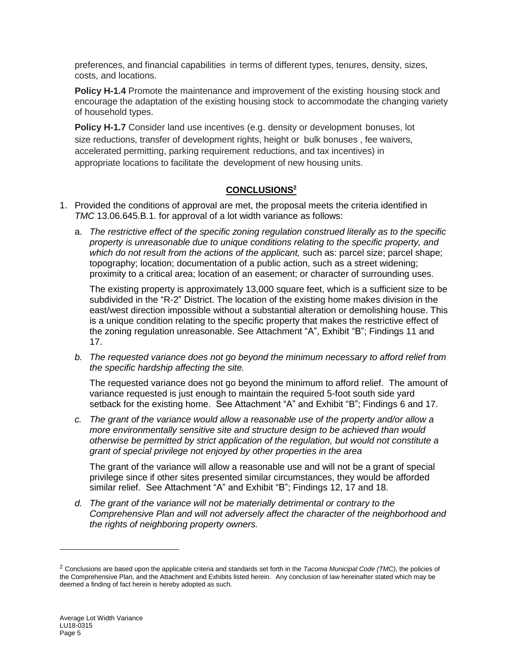preferences, and financial capabilities in terms of different types, tenures, density, sizes, costs, and locations.

**Policy H-1.4** Promote the maintenance and improvement of the existing housing stock and encourage the adaptation of the existing housing stock to accommodate the changing variety of household types.

**Policy H-1.7** Consider land use incentives (e.g. density or development bonuses, lot size reductions, transfer of development rights, height or bulk bonuses , fee waivers, accelerated permitting, parking requirement reductions, and tax incentives) in appropriate locations to facilitate the development of new housing units.

# **CONCLUSIONS<sup>2</sup>**

- 1. Provided the conditions of approval are met, the proposal meets the criteria identified in *TMC* 13.06.645.B.1. for approval of a lot width variance as follows:
	- a. *The restrictive effect of the specific zoning regulation construed literally as to the specific property is unreasonable due to unique conditions relating to the specific property, and*  which do not result from the actions of the applicant, such as: parcel size; parcel shape; topography; location; documentation of a public action, such as a street widening; proximity to a critical area; location of an easement; or character of surrounding uses.

The existing property is approximately 13,000 square feet, which is a sufficient size to be subdivided in the "R-2" District. The location of the existing home makes division in the east/west direction impossible without a substantial alteration or demolishing house. This is a unique condition relating to the specific property that makes the restrictive effect of the zoning regulation unreasonable. See Attachment "A", Exhibit "B"; Findings 11 and 17.

*b. The requested variance does not go beyond the minimum necessary to afford relief from the specific hardship affecting the site.*

The requested variance does not go beyond the minimum to afford relief. The amount of variance requested is just enough to maintain the required 5-foot south side yard setback for the existing home. See Attachment "A" and Exhibit "B"; Findings 6 and 17.

*c. The grant of the variance would allow a reasonable use of the property and/or allow a more environmentally sensitive site and structure design to be achieved than would otherwise be permitted by strict application of the regulation, but would not constitute a grant of special privilege not enjoyed by other properties in the area*

The grant of the variance will allow a reasonable use and will not be a grant of special privilege since if other sites presented similar circumstances, they would be afforded similar relief. See Attachment "A" and Exhibit "B"; Findings 12, 17 and 18.

*d. The grant of the variance will not be materially detrimental or contrary to the Comprehensive Plan and will not adversely affect the character of the neighborhood and the rights of neighboring property owners.*

 $\overline{a}$ 

<sup>2</sup> Conclusions are based upon the applicable criteria and standards set forth in the *Tacoma Municipal Code (TMC)*, the policies of the Comprehensive Plan, and the Attachment and Exhibits listed herein. Any conclusion of law hereinafter stated which may be deemed a finding of fact herein is hereby adopted as such.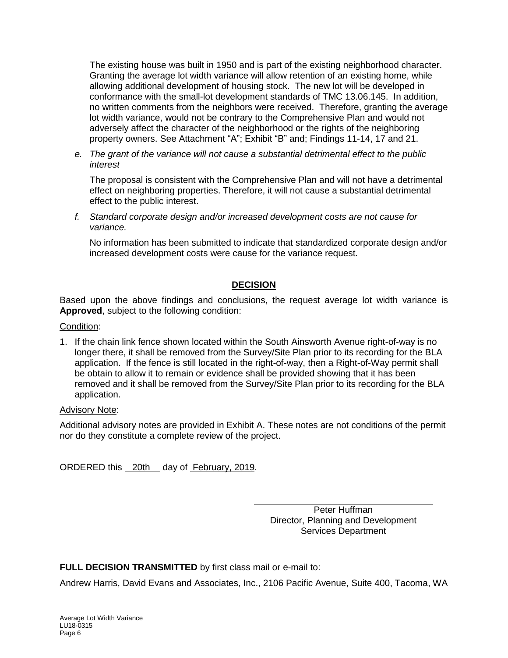The existing house was built in 1950 and is part of the existing neighborhood character. Granting the average lot width variance will allow retention of an existing home, while allowing additional development of housing stock. The new lot will be developed in conformance with the small-lot development standards of TMC 13.06.145. In addition, no written comments from the neighbors were received. Therefore, granting the average lot width variance, would not be contrary to the Comprehensive Plan and would not adversely affect the character of the neighborhood or the rights of the neighboring property owners. See Attachment "A"; Exhibit "B" and; Findings 11-14, 17 and 21.

*e. The grant of the variance will not cause a substantial detrimental effect to the public interest*

The proposal is consistent with the Comprehensive Plan and will not have a detrimental effect on neighboring properties. Therefore, it will not cause a substantial detrimental effect to the public interest.

*f. Standard corporate design and/or increased development costs are not cause for variance.*

No information has been submitted to indicate that standardized corporate design and/or increased development costs were cause for the variance request.

# **DECISION**

Based upon the above findings and conclusions, the request average lot width variance is **Approved**, subject to the following condition:

#### Condition:

1. If the chain link fence shown located within the South Ainsworth Avenue right-of-way is no longer there, it shall be removed from the Survey/Site Plan prior to its recording for the BLA application. If the fence is still located in the right-of-way, then a Right-of-Way permit shall be obtain to allow it to remain or evidence shall be provided showing that it has been removed and it shall be removed from the Survey/Site Plan prior to its recording for the BLA application.

#### Advisory Note:

Additional advisory notes are provided in Exhibit A. These notes are not conditions of the permit nor do they constitute a complete review of the project.

ORDERED this 20th day of February, 2019.

Peter Huffman Director, Planning and Development Services Department

**FULL DECISION TRANSMITTED** by first class mail or e-mail to:

Andrew Harris, David Evans and Associates, Inc., 2106 Pacific Avenue, Suite 400, Tacoma, WA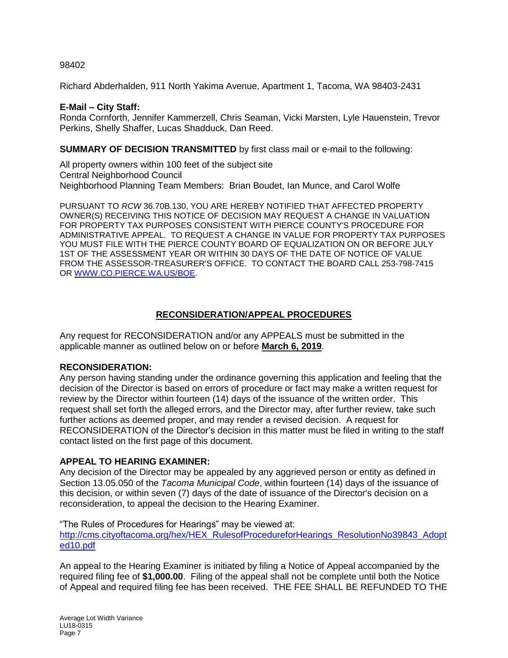98402

Richard Abderhalden, 911 North Yakima Avenue, Apartment 1, Tacoma, WA 98403-2431

#### **E-Mail – City Staff:**

Ronda Cornforth, Jennifer Kammerzell, Chris Seaman, Vicki Marsten, Lyle Hauenstein, Trevor Perkins, Shelly Shaffer, Lucas Shadduck, Dan Reed.

**SUMMARY OF DECISION TRANSMITTED** by first class mail or e-mail to the following:

All property owners within 100 feet of the subject site Central Neighborhood Council Neighborhood Planning Team Members: Brian Boudet, Ian Munce, and Carol Wolfe

PURSUANT TO *RCW* 36.70B.130, YOU ARE HEREBY NOTIFIED THAT AFFECTED PROPERTY OWNER(S) RECEIVING THIS NOTICE OF DECISION MAY REQUEST A CHANGE IN VALUATION FOR PROPERTY TAX PURPOSES CONSISTENT WITH PIERCE COUNTY'S PROCEDURE FOR ADMINISTRATIVE APPEAL. TO REQUEST A CHANGE IN VALUE FOR PROPERTY TAX PURPOSES YOU MUST FILE WITH THE PIERCE COUNTY BOARD OF EQUALIZATION ON OR BEFORE JULY 1ST OF THE ASSESSMENT YEAR OR WITHIN 30 DAYS OF THE DATE OF NOTICE OF VALUE FROM THE ASSESSOR-TREASURER'S OFFICE. TO CONTACT THE BOARD CALL 253-798-7415 OR [WWW.CO.PIERCE.WA.US/BOE.](http://www.co.pierce.wa.us/boe)

## **RECONSIDERATION/APPEAL PROCEDURES**

Any request for RECONSIDERATION and/or any APPEALS must be submitted in the applicable manner as outlined below on or before **March 6, 2019**.

#### **RECONSIDERATION:**

Any person having standing under the ordinance governing this application and feeling that the decision of the Director is based on errors of procedure or fact may make a written request for review by the Director within fourteen (14) days of the issuance of the written order. This request shall set forth the alleged errors, and the Director may, after further review, take such further actions as deemed proper, and may render a revised decision. A request for RECONSIDERATION of the Director's decision in this matter must be filed in writing to the staff contact listed on the first page of this document.

#### **APPEAL TO HEARING EXAMINER:**

Any decision of the Director may be appealed by any aggrieved person or entity as defined in Section 13.05.050 of the *Tacoma Municipal Code*, within fourteen (14) days of the issuance of this decision, or within seven (7) days of the date of issuance of the Director's decision on a reconsideration, to appeal the decision to the Hearing Examiner.

"The Rules of Procedures for Hearings" may be viewed at: [http://cms.cityoftacoma.org/hex/HEX\\_RulesofProcedureforHearings\\_ResolutionNo39843\\_Adopt](http://cms.cityoftacoma.org/hex/HEX_RulesofProcedureforHearings_ResolutionNo39843_Adopted10.pdf) [ed10.pdf](http://cms.cityoftacoma.org/hex/HEX_RulesofProcedureforHearings_ResolutionNo39843_Adopted10.pdf)

An appeal to the Hearing Examiner is initiated by filing a Notice of Appeal accompanied by the required filing fee of **\$1,000.00**. Filing of the appeal shall not be complete until both the Notice of Appeal and required filing fee has been received. THE FEE SHALL BE REFUNDED TO THE